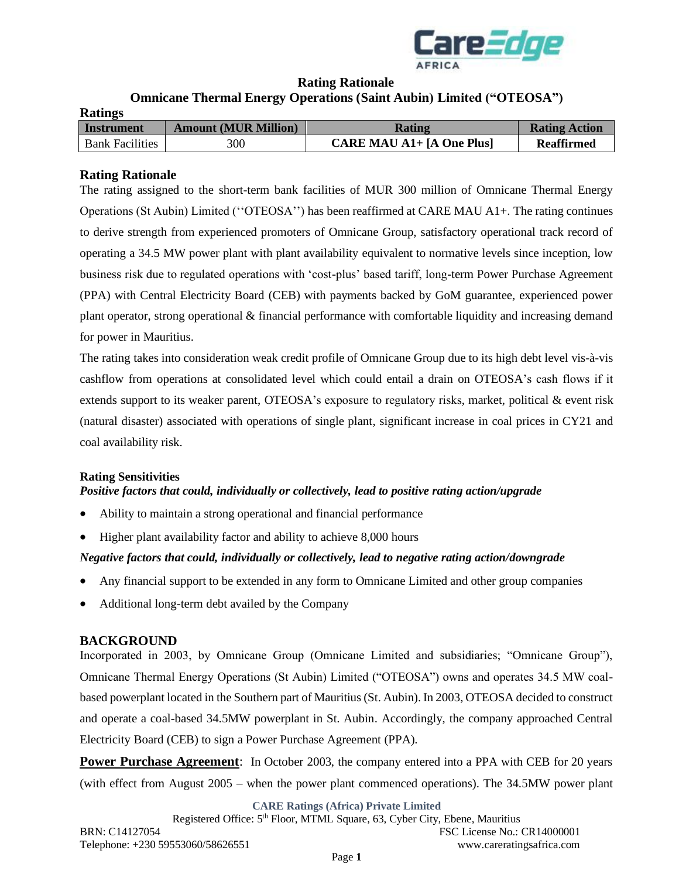

### **Rating Rationale**

# **Omnicane Thermal Energy Operations (Saint Aubin) Limited ("OTEOSA")**

| <b>Ratings</b>         |                             |                                            |                      |
|------------------------|-----------------------------|--------------------------------------------|----------------------|
| Instrument             | <b>Amount (MUR Million)</b> | <b>Rating</b>                              | <b>Rating Action</b> |
| <b>Bank Facilities</b> | 300                         | <b>CARE MAU A1+</b> $[A \text{ One Plus}]$ | <b>Reaffirmed</b>    |

### **Rating Rationale**

The rating assigned to the short-term bank facilities of MUR 300 million of Omnicane Thermal Energy Operations (St Aubin) Limited (''OTEOSA'') has been reaffirmed at CARE MAU A1+. The rating continues to derive strength from experienced promoters of Omnicane Group, satisfactory operational track record of operating a 34.5 MW power plant with plant availability equivalent to normative levels since inception, low business risk due to regulated operations with 'cost-plus' based tariff, long-term Power Purchase Agreement (PPA) with Central Electricity Board (CEB) with payments backed by GoM guarantee, experienced power plant operator, strong operational & financial performance with comfortable liquidity and increasing demand for power in Mauritius.

The rating takes into consideration weak credit profile of Omnicane Group due to its high debt level vis-à-vis cashflow from operations at consolidated level which could entail a drain on OTEOSA's cash flows if it extends support to its weaker parent, OTEOSA's exposure to regulatory risks, market, political & event risk (natural disaster) associated with operations of single plant, significant increase in coal prices in CY21 and coal availability risk.

# **Rating Sensitivities**

## *Positive factors that could, individually or collectively, lead to positive rating action/upgrade*

- Ability to maintain a strong operational and financial performance
- Higher plant availability factor and ability to achieve 8,000 hours

### *Negative factors that could, individually or collectively, lead to negative rating action/downgrade*

- Any financial support to be extended in any form to Omnicane Limited and other group companies
- Additional long-term debt availed by the Company

### **BACKGROUND**

Incorporated in 2003, by Omnicane Group (Omnicane Limited and subsidiaries; "Omnicane Group"), Omnicane Thermal Energy Operations (St Aubin) Limited ("OTEOSA") owns and operates 34.5 MW coalbased powerplant located in the Southern part of Mauritius (St. Aubin). In 2003, OTEOSA decided to construct and operate a coal-based 34.5MW powerplant in St. Aubin. Accordingly, the company approached Central Electricity Board (CEB) to sign a Power Purchase Agreement (PPA).

**Power Purchase Agreement**: In October 2003, the company entered into a PPA with CEB for 20 years (with effect from August 2005 – when the power plant commenced operations). The 34.5MW power plant

**CARE Ratings (Africa) Private Limited**

Registered Office: 5<sup>th</sup> Floor, MTML Square, 63, Cyber City, Ebene, Mauritius BRN: C14127054 FSC License No.: CR14000001 Telephone: +230 59553060/58626551 www.careratingsafrica.com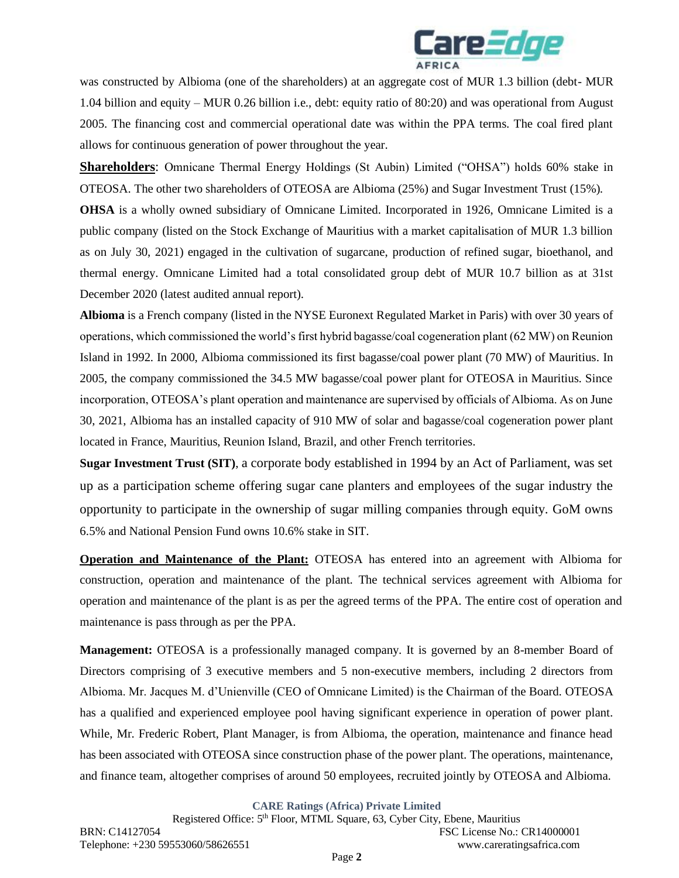

was constructed by Albioma (one of the shareholders) at an aggregate cost of MUR 1.3 billion (debt- MUR 1.04 billion and equity – MUR 0.26 billion i.e., debt: equity ratio of 80:20) and was operational from August 2005. The financing cost and commercial operational date was within the PPA terms. The coal fired plant allows for continuous generation of power throughout the year.

**Shareholders**: Omnicane Thermal Energy Holdings (St Aubin) Limited ("OHSA") holds 60% stake in OTEOSA. The other two shareholders of OTEOSA are Albioma (25%) and Sugar Investment Trust (15%).

**OHSA** is a wholly owned subsidiary of Omnicane Limited. Incorporated in 1926, Omnicane Limited is a public company (listed on the Stock Exchange of Mauritius with a market capitalisation of MUR 1.3 billion as on July 30, 2021) engaged in the cultivation of sugarcane, production of refined sugar, bioethanol, and thermal energy. Omnicane Limited had a total consolidated group debt of MUR 10.7 billion as at 31st December 2020 (latest audited annual report).

**Albioma** is a French company (listed in the NYSE Euronext Regulated Market in Paris) with over 30 years of operations, which commissioned the world's first hybrid bagasse/coal cogeneration plant (62 MW) on Reunion Island in 1992. In 2000, Albioma commissioned its first bagasse/coal power plant (70 MW) of Mauritius. In 2005, the company commissioned the 34.5 MW bagasse/coal power plant for OTEOSA in Mauritius. Since incorporation, OTEOSA's plant operation and maintenance are supervised by officials of Albioma. As on June 30, 2021, Albioma has an installed capacity of 910 MW of solar and bagasse/coal cogeneration power plant located in France, Mauritius, Reunion Island, Brazil, and other French territories.

**Sugar Investment Trust (SIT)**, a corporate body established in 1994 by an Act of Parliament, was set up as a participation scheme offering sugar cane planters and employees of the sugar industry the opportunity to participate in the ownership of sugar milling companies through equity. GoM owns 6.5% and National Pension Fund owns 10.6% stake in SIT.

**Operation and Maintenance of the Plant:** OTEOSA has entered into an agreement with Albioma for construction, operation and maintenance of the plant. The technical services agreement with Albioma for operation and maintenance of the plant is as per the agreed terms of the PPA. The entire cost of operation and maintenance is pass through as per the PPA.

**Management:** OTEOSA is a professionally managed company. It is governed by an 8-member Board of Directors comprising of 3 executive members and 5 non-executive members, including 2 directors from Albioma. Mr. Jacques M. d'Unienville (CEO of Omnicane Limited) is the Chairman of the Board. OTEOSA has a qualified and experienced employee pool having significant experience in operation of power plant. While, Mr. Frederic Robert, Plant Manager, is from Albioma, the operation, maintenance and finance head has been associated with OTEOSA since construction phase of the power plant. The operations, maintenance, and finance team, altogether comprises of around 50 employees, recruited jointly by OTEOSA and Albioma.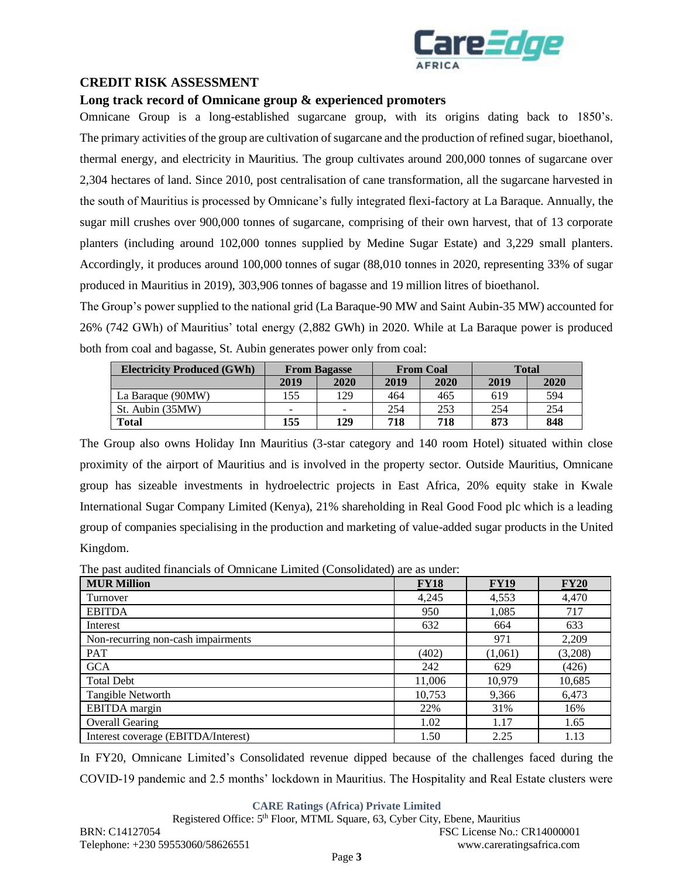

# **CREDIT RISK ASSESSMENT**

### **Long track record of Omnicane group & experienced promoters**

Omnicane Group is a long-established sugarcane group, with its origins dating back to 1850's. The primary activities of the group are cultivation of sugarcane and the production of refined sugar, bioethanol, thermal energy, and electricity in Mauritius. The group cultivates around 200,000 tonnes of sugarcane over 2,304 hectares of land. Since 2010, post centralisation of cane transformation, all the sugarcane harvested in the south of Mauritius is processed by Omnicane's fully integrated flexi-factory at La Baraque. Annually, the sugar mill crushes over 900,000 tonnes of sugarcane, comprising of their own harvest, that of 13 corporate planters (including around 102,000 tonnes supplied by Medine Sugar Estate) and 3,229 small planters. Accordingly, it produces around 100,000 tonnes of sugar (88,010 tonnes in 2020, representing 33% of sugar produced in Mauritius in 2019), 303,906 tonnes of bagasse and 19 million litres of bioethanol.

The Group's power supplied to the national grid (La Baraque-90 MW and Saint Aubin-35 MW) accounted for 26% (742 GWh) of Mauritius' total energy (2,882 GWh) in 2020. While at La Baraque power is produced both from coal and bagasse, St. Aubin generates power only from coal:

| <b>Electricity Produced (GWh)</b> | <b>From Bagasse</b>      |          | <b>From Coal</b> |      | <b>Total</b> |      |
|-----------------------------------|--------------------------|----------|------------------|------|--------------|------|
|                                   | 2019                     | 2020     | 2019             | 2020 | 2019         | 2020 |
| La Baraque (90MW)                 | 155                      | 129      | 464              | 465  | 619          | 594  |
| St. Aubin (35MW)                  | $\overline{\phantom{0}}$ | $\equiv$ | 254              | 253  | 254          | 254  |
| <b>Total</b>                      | 155                      | 129      | 718              | 718  | 873          | 848  |

The Group also owns Holiday Inn Mauritius (3-star category and 140 room Hotel) situated within close proximity of the airport of Mauritius and is involved in the property sector. Outside Mauritius, Omnicane group has sizeable investments in hydroelectric projects in East Africa, 20% equity stake in Kwale International Sugar Company Limited (Kenya), 21% shareholding in Real Good Food plc which is a leading group of companies specialising in the production and marketing of value-added sugar products in the United Kingdom.

The past audited financials of Omnicane Limited (Consolidated) are as under:

| <b>MUR Million</b>                  | <b>FY18</b> | <b>FY19</b> | <b>FY20</b> |
|-------------------------------------|-------------|-------------|-------------|
| Turnover                            | 4,245       | 4,553       | 4,470       |
| <b>EBITDA</b>                       | 950         | 1,085       | 717         |
| Interest                            | 632         | 664         | 633         |
| Non-recurring non-cash impairments  |             | 971         | 2,209       |
| <b>PAT</b>                          | (402)       | (1,061)     | (3,208)     |
| <b>GCA</b>                          | 242         | 629         | (426)       |
| <b>Total Debt</b>                   | 11,006      | 10,979      | 10,685      |
| Tangible Networth                   | 10,753      | 9,366       | 6,473       |
| EBITDA margin                       | 22%         | 31%         | 16%         |
| <b>Overall Gearing</b>              | 1.02        | 1.17        | 1.65        |
| Interest coverage (EBITDA/Interest) | 1.50        | 2.25        | 1.13        |

In FY20, Omnicane Limited's Consolidated revenue dipped because of the challenges faced during the COVID-19 pandemic and 2.5 months' lockdown in Mauritius. The Hospitality and Real Estate clusters were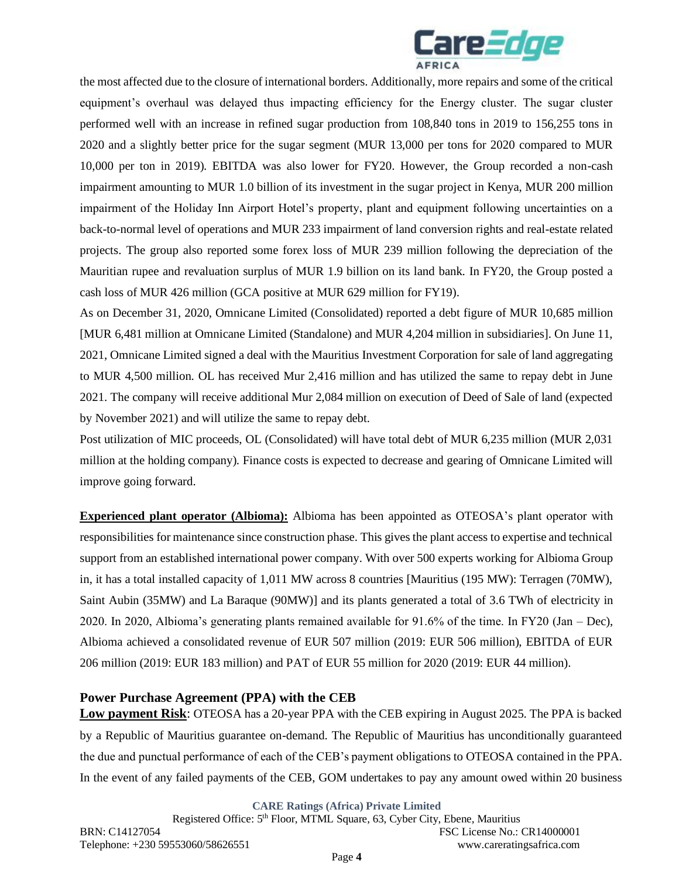

the most affected due to the closure of international borders. Additionally, more repairs and some of the critical equipment's overhaul was delayed thus impacting efficiency for the Energy cluster. The sugar cluster performed well with an increase in refined sugar production from 108,840 tons in 2019 to 156,255 tons in 2020 and a slightly better price for the sugar segment (MUR 13,000 per tons for 2020 compared to MUR 10,000 per ton in 2019). EBITDA was also lower for FY20. However, the Group recorded a non-cash impairment amounting to MUR 1.0 billion of its investment in the sugar project in Kenya, MUR 200 million impairment of the Holiday Inn Airport Hotel's property, plant and equipment following uncertainties on a back-to-normal level of operations and MUR 233 impairment of land conversion rights and real-estate related projects. The group also reported some forex loss of MUR 239 million following the depreciation of the Mauritian rupee and revaluation surplus of MUR 1.9 billion on its land bank. In FY20, the Group posted a cash loss of MUR 426 million (GCA positive at MUR 629 million for FY19).

As on December 31, 2020, Omnicane Limited (Consolidated) reported a debt figure of MUR 10,685 million [MUR 6,481 million at Omnicane Limited (Standalone) and MUR 4,204 million in subsidiaries]. On June 11, 2021, Omnicane Limited signed a deal with the Mauritius Investment Corporation for sale of land aggregating to MUR 4,500 million. OL has received Mur 2,416 million and has utilized the same to repay debt in June 2021. The company will receive additional Mur 2,084 million on execution of Deed of Sale of land (expected by November 2021) and will utilize the same to repay debt.

Post utilization of MIC proceeds, OL (Consolidated) will have total debt of MUR 6,235 million (MUR 2,031 million at the holding company). Finance costs is expected to decrease and gearing of Omnicane Limited will improve going forward.

**Experienced plant operator (Albioma):** Albioma has been appointed as OTEOSA's plant operator with responsibilities for maintenance since construction phase. This gives the plant access to expertise and technical support from an established international power company. With over 500 experts working for Albioma Group in, it has a total installed capacity of 1,011 MW across 8 countries [Mauritius (195 MW): Terragen (70MW), Saint Aubin (35MW) and La Baraque (90MW)] and its plants generated a total of 3.6 TWh of electricity in 2020. In 2020, Albioma's generating plants remained available for 91.6% of the time. In FY20 (Jan – Dec), Albioma achieved a consolidated revenue of EUR 507 million (2019: EUR 506 million), EBITDA of EUR 206 million (2019: EUR 183 million) and PAT of EUR 55 million for 2020 (2019: EUR 44 million).

# **Power Purchase Agreement (PPA) with the CEB**

**Low payment Risk**: OTEOSA has a 20-year PPA with the CEB expiring in August 2025. The PPA is backed by a Republic of Mauritius guarantee on-demand. The Republic of Mauritius has unconditionally guaranteed the due and punctual performance of each of the CEB's payment obligations to OTEOSA contained in the PPA. In the event of any failed payments of the CEB, GOM undertakes to pay any amount owed within 20 business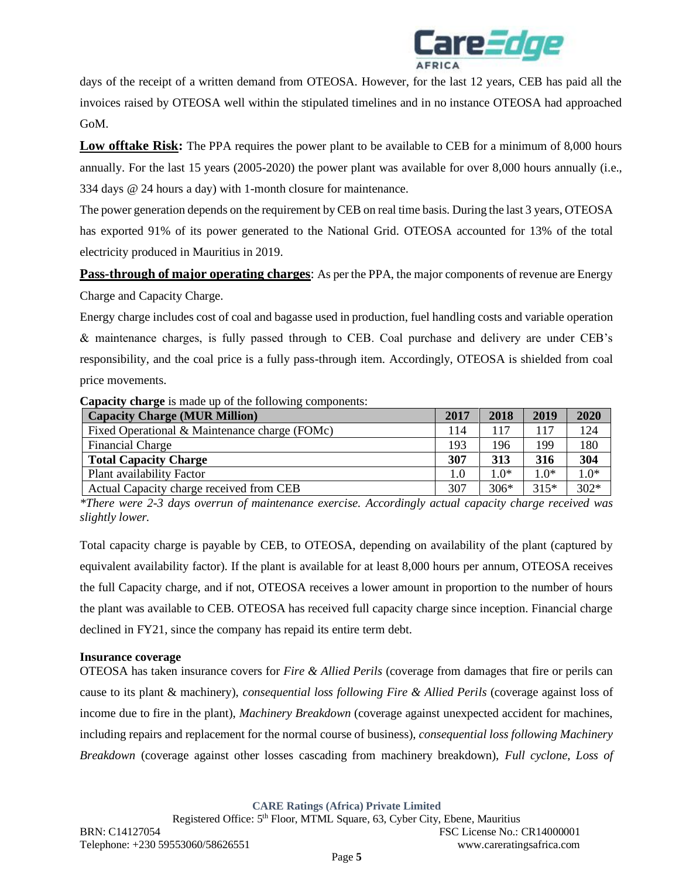

days of the receipt of a written demand from OTEOSA. However, for the last 12 years, CEB has paid all the invoices raised by OTEOSA well within the stipulated timelines and in no instance OTEOSA had approached GoM.

**Low offtake Risk:** The PPA requires the power plant to be available to CEB for a minimum of 8,000 hours annually. For the last 15 years (2005-2020) the power plant was available for over 8,000 hours annually (i.e., 334 days @ 24 hours a day) with 1-month closure for maintenance.

The power generation depends on the requirement by CEB on real time basis. During the last 3 years, OTEOSA has exported 91% of its power generated to the National Grid. OTEOSA accounted for 13% of the total electricity produced in Mauritius in 2019.

**Pass-through of major operating charges**: As per the PPA, the major components of revenue are Energy

Charge and Capacity Charge.

Energy charge includes cost of coal and bagasse used in production, fuel handling costs and variable operation & maintenance charges, is fully passed through to CEB. Coal purchase and delivery are under CEB's responsibility, and the coal price is a fully pass-through item. Accordingly, OTEOSA is shielded from coal price movements.

**Capacity charge** is made up of the following components:

| <b>Capacity Charge (MUR Million)</b>          | 2017 | 2018   | 2019      | 2020   |
|-----------------------------------------------|------|--------|-----------|--------|
| Fixed Operational & Maintenance charge (FOMc) | 114  | 117    | 117       | 124    |
| <b>Financial Charge</b>                       | 193  | 196    | 199       | 180    |
| <b>Total Capacity Charge</b>                  | 307  | 313    | 316       | 304    |
| Plant availability Factor                     | 1.0  | $1.0*$ | $^{*0.1}$ | $1.0*$ |
| Actual Capacity charge received from CEB      | 307  | $306*$ | $315*$    | $302*$ |

*\*There were 2-3 days overrun of maintenance exercise. Accordingly actual capacity charge received was slightly lower.*

Total capacity charge is payable by CEB, to OTEOSA, depending on availability of the plant (captured by equivalent availability factor). If the plant is available for at least 8,000 hours per annum, OTEOSA receives the full Capacity charge, and if not, OTEOSA receives a lower amount in proportion to the number of hours the plant was available to CEB. OTEOSA has received full capacity charge since inception. Financial charge declined in FY21, since the company has repaid its entire term debt.

### **Insurance coverage**

OTEOSA has taken insurance covers for *Fire & Allied Perils* (coverage from damages that fire or perils can cause to its plant & machinery), *consequential loss following Fire & Allied Perils* (coverage against loss of income due to fire in the plant), *Machinery Breakdown* (coverage against unexpected accident for machines, including repairs and replacement for the normal course of business), *consequential loss following Machinery Breakdown* (coverage against other losses cascading from machinery breakdown), *Full cyclone*, *Loss of*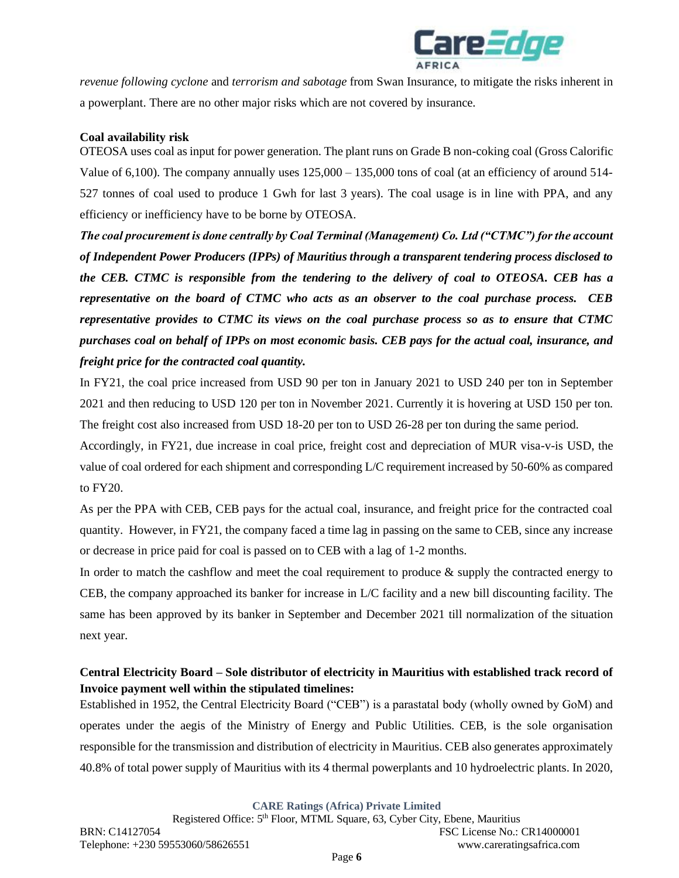

*revenue following cyclone* and *terrorism and sabotage* from Swan Insurance*,* to mitigate the risks inherent in a powerplant. There are no other major risks which are not covered by insurance.

## **Coal availability risk**

OTEOSA uses coal as input for power generation. The plant runs on Grade B non-coking coal (Gross Calorific Value of 6,100). The company annually uses  $125,000 - 135,000$  tons of coal (at an efficiency of around 514-527 tonnes of coal used to produce 1 Gwh for last 3 years). The coal usage is in line with PPA, and any efficiency or inefficiency have to be borne by OTEOSA.

*The coal procurement is done centrally by Coal Terminal (Management) Co. Ltd ("CTMC") for the account of Independent Power Producers (IPPs) of Mauritius through a transparent tendering process disclosed to the CEB. CTMC is responsible from the tendering to the delivery of coal to OTEOSA. CEB has a representative on the board of CTMC who acts as an observer to the coal purchase process. CEB representative provides to CTMC its views on the coal purchase process so as to ensure that CTMC purchases coal on behalf of IPPs on most economic basis. CEB pays for the actual coal, insurance, and freight price for the contracted coal quantity.*

In FY21, the coal price increased from USD 90 per ton in January 2021 to USD 240 per ton in September 2021 and then reducing to USD 120 per ton in November 2021. Currently it is hovering at USD 150 per ton. The freight cost also increased from USD 18-20 per ton to USD 26-28 per ton during the same period.

Accordingly, in FY21, due increase in coal price, freight cost and depreciation of MUR visa-v-is USD, the value of coal ordered for each shipment and corresponding L/C requirement increased by 50-60% as compared to FY20.

As per the PPA with CEB, CEB pays for the actual coal, insurance, and freight price for the contracted coal quantity. However, in FY21, the company faced a time lag in passing on the same to CEB, since any increase or decrease in price paid for coal is passed on to CEB with a lag of 1-2 months.

In order to match the cashflow and meet the coal requirement to produce & supply the contracted energy to CEB, the company approached its banker for increase in L/C facility and a new bill discounting facility. The same has been approved by its banker in September and December 2021 till normalization of the situation next year.

# **Central Electricity Board – Sole distributor of electricity in Mauritius with established track record of Invoice payment well within the stipulated timelines:**

Established in 1952, the Central Electricity Board ("CEB") is a parastatal body (wholly owned by GoM) and operates under the aegis of the Ministry of Energy and Public Utilities. CEB, is the sole organisation responsible for the transmission and distribution of electricity in Mauritius. CEB also generates approximately 40.8% of total power supply of Mauritius with its 4 thermal powerplants and 10 hydroelectric plants. In 2020,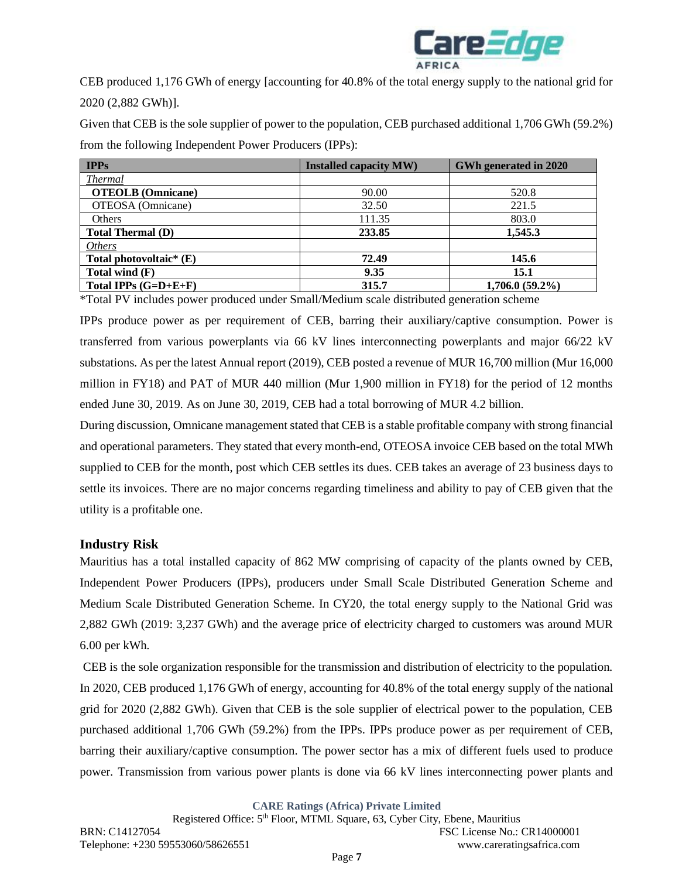

CEB produced 1,176 GWh of energy [accounting for 40.8% of the total energy supply to the national grid for 2020 (2,882 GWh)].

Given that CEB is the sole supplier of power to the population, CEB purchased additional 1,706 GWh (59.2%) from the following Independent Power Producers (IPPs):

| <b>Installed capacity MW)</b> | GWh generated in 2020 |
|-------------------------------|-----------------------|
|                               |                       |
| 90.00                         | 520.8                 |
| 32.50                         | 221.5                 |
| 111.35                        | 803.0                 |
| 233.85                        | 1,545.3               |
|                               |                       |
| 72.49                         | 145.6                 |
| 9.35                          | 15.1                  |
| 315.7                         | $1,706.0(59.2\%)$     |
|                               |                       |

\*Total PV includes power produced under Small/Medium scale distributed generation scheme

IPPs produce power as per requirement of CEB, barring their auxiliary/captive consumption. Power is transferred from various powerplants via 66 kV lines interconnecting powerplants and major 66/22 kV substations. As per the latest Annual report (2019), CEB posted a revenue of MUR 16,700 million (Mur 16,000 million in FY18) and PAT of MUR 440 million (Mur 1,900 million in FY18) for the period of 12 months ended June 30, 2019. As on June 30, 2019, CEB had a total borrowing of MUR 4.2 billion.

During discussion, Omnicane management stated that CEB is a stable profitable company with strong financial and operational parameters. They stated that every month-end, OTEOSA invoice CEB based on the total MWh supplied to CEB for the month, post which CEB settles its dues. CEB takes an average of 23 business days to settle its invoices. There are no major concerns regarding timeliness and ability to pay of CEB given that the utility is a profitable one.

# **Industry Risk**

Mauritius has a total installed capacity of 862 MW comprising of capacity of the plants owned by CEB, Independent Power Producers (IPPs), producers under Small Scale Distributed Generation Scheme and Medium Scale Distributed Generation Scheme. In CY20, the total energy supply to the National Grid was 2,882 GWh (2019: 3,237 GWh) and the average price of electricity charged to customers was around MUR 6.00 per kWh.

CEB is the sole organization responsible for the transmission and distribution of electricity to the population. In 2020, CEB produced 1,176 GWh of energy, accounting for 40.8% of the total energy supply of the national grid for 2020 (2,882 GWh). Given that CEB is the sole supplier of electrical power to the population, CEB purchased additional 1,706 GWh (59.2%) from the IPPs. IPPs produce power as per requirement of CEB, barring their auxiliary/captive consumption. The power sector has a mix of different fuels used to produce power. Transmission from various power plants is done via 66 kV lines interconnecting power plants and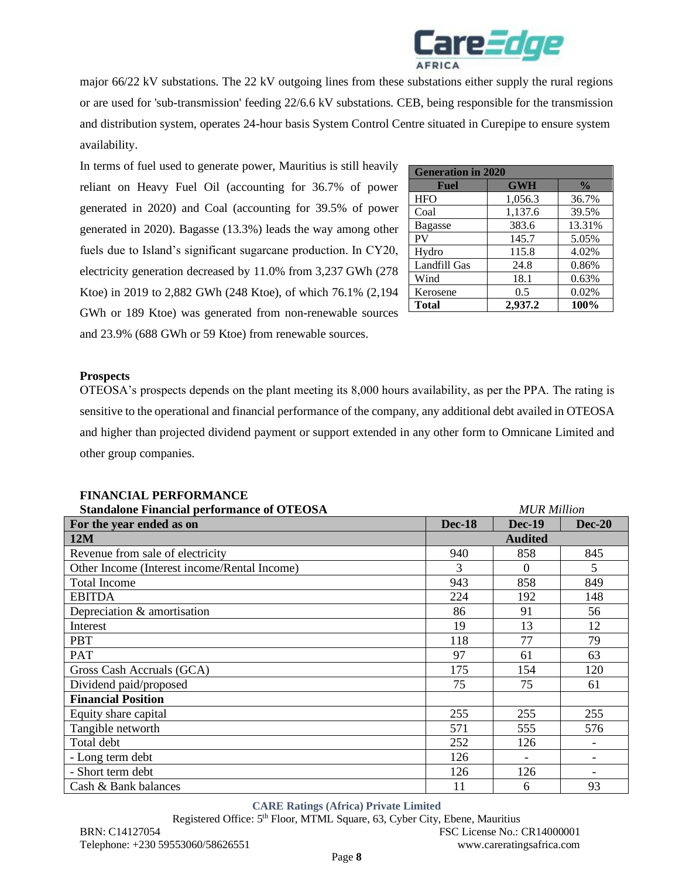

major 66/22 kV substations. The 22 kV outgoing lines from these substations either supply the rural regions or are used for 'sub-transmission' feeding 22/6.6 kV substations. CEB, being responsible for the transmission and distribution system, operates 24-hour basis System Control Centre situated in Curepipe to ensure system availability.

In terms of fuel used to generate power, Mauritius is still heavily reliant on Heavy Fuel Oil (accounting for 36.7% of power generated in 2020) and Coal (accounting for 39.5% of power generated in 2020). Bagasse (13.3%) leads the way among other fuels due to Island's significant sugarcane production. In CY20, electricity generation decreased by 11.0% from 3,237 GWh (278 Ktoe) in 2019 to 2,882 GWh (248 Ktoe), of which 76.1% (2,194 GWh or 189 Ktoe) was generated from non-renewable sources and 23.9% (688 GWh or 59 Ktoe) from renewable sources.

| <b>Generation in 2020</b> |            |               |  |  |  |  |
|---------------------------|------------|---------------|--|--|--|--|
| Fuel                      | <b>GWH</b> | $\frac{0}{0}$ |  |  |  |  |
| <b>HFO</b>                | 1,056.3    | 36.7%         |  |  |  |  |
| Coal                      | 1,137.6    | 39.5%         |  |  |  |  |
| <b>Bagasse</b>            | 383.6      | 13.31%        |  |  |  |  |
| PV                        | 145.7      | 5.05%         |  |  |  |  |
| Hydro                     | 115.8      | 4.02%         |  |  |  |  |
| Landfill Gas              | 24.8       | 0.86%         |  |  |  |  |
| Wind                      | 18.1       | 0.63%         |  |  |  |  |
| Kerosene                  | 0.5        | 0.02%         |  |  |  |  |
| <b>Total</b>              | 2,937.2    | 100%          |  |  |  |  |

### **Prospects**

OTEOSA's prospects depends on the plant meeting its 8,000 hours availability, as per the PPA. The rating is sensitive to the operational and financial performance of the company, any additional debt availed in OTEOSA and higher than projected dividend payment or support extended in any other form to Omnicane Limited and other group companies.

| <b>Standalone Financial performance of OTEOSA</b> |               | <b>MUR Million</b> |               |  |
|---------------------------------------------------|---------------|--------------------|---------------|--|
| For the year ended as on                          | <b>Dec-18</b> | <b>Dec-19</b>      | <b>Dec-20</b> |  |
| 12M                                               |               | <b>Audited</b>     |               |  |
| Revenue from sale of electricity                  | 940           | 858                | 845           |  |
| Other Income (Interest income/Rental Income)      | 3             | $\Omega$           | 5             |  |
| <b>Total Income</b>                               | 943           | 858                | 849           |  |
| <b>EBITDA</b>                                     | 224           | 192                | 148           |  |
| Depreciation & amortisation                       | 86            | 91                 | 56            |  |
| Interest                                          | 19            | 13                 | 12            |  |
| <b>PBT</b>                                        | 118           | 77                 | 79            |  |
| <b>PAT</b>                                        | 97            | 61                 | 63            |  |
| Gross Cash Accruals (GCA)                         | 175           | 154                | 120           |  |
| Dividend paid/proposed                            | 75            | 75                 | 61            |  |
| <b>Financial Position</b>                         |               |                    |               |  |
| Equity share capital                              | 255           | 255                | 255           |  |
| Tangible networth                                 | 571           | 555                | 576           |  |
| Total debt                                        | 252           | 126                |               |  |
| - Long term debt                                  | 126           |                    |               |  |
| - Short term debt                                 | 126           | 126                |               |  |
| Cash & Bank balances                              | 11            | 6                  | 93            |  |

### **FINANCIAL PERFORMANCE**

#### **CARE Ratings (Africa) Private Limited**

BRN: C14127054 FSC License No.: CR14000001 Telephone: +230 59553060/58626551 www.careratingsafrica.com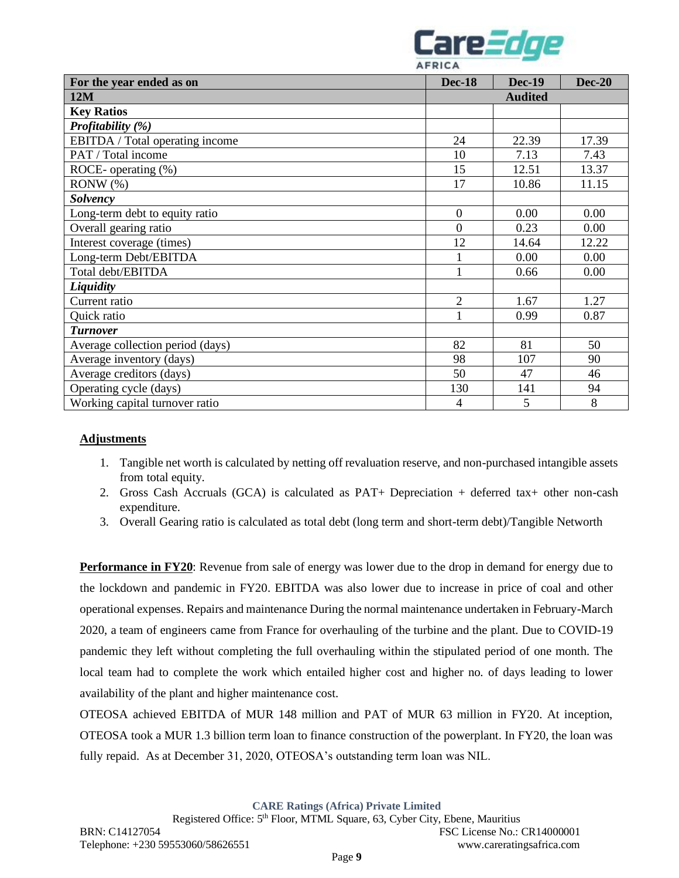

| For the year ended as on         | <b>Dec-18</b>  | <b>Dec-19</b> | <b>Dec-20</b> |
|----------------------------------|----------------|---------------|---------------|
| 12M                              | <b>Audited</b> |               |               |
| <b>Key Ratios</b>                |                |               |               |
| Profitability (%)                |                |               |               |
| EBITDA / Total operating income  | 24             | 22.39         | 17.39         |
| PAT / Total income               | 10             | 7.13          | 7.43          |
| ROCE- operating (%)              | 15             | 12.51         | 13.37         |
| $RONW(\%)$                       | 17             | 10.86         | 11.15         |
| <b>Solvency</b>                  |                |               |               |
| Long-term debt to equity ratio   | $\overline{0}$ | 0.00          | 0.00          |
| Overall gearing ratio            | $\overline{0}$ | 0.23          | 0.00          |
| Interest coverage (times)        | 12             | 14.64         | 12.22         |
| Long-term Debt/EBITDA            | 1              | 0.00          | 0.00          |
| Total debt/EBITDA                | 1              | 0.66          | 0.00          |
| Liquidity                        |                |               |               |
| Current ratio                    | $\overline{2}$ | 1.67          | 1.27          |
| Quick ratio                      | 1              | 0.99          | 0.87          |
| <b>Turnover</b>                  |                |               |               |
| Average collection period (days) | 82             | 81            | 50            |
| Average inventory (days)         | 98             | 107           | 90            |
| Average creditors (days)         | 50             | 47            | 46            |
| Operating cycle (days)           | 130            | 141           | 94            |
| Working capital turnover ratio   | $\overline{4}$ | 5             | 8             |

### **Adjustments**

- 1. Tangible net worth is calculated by netting off revaluation reserve, and non-purchased intangible assets from total equity.
- 2. Gross Cash Accruals (GCA) is calculated as PAT+ Depreciation + deferred tax+ other non-cash expenditure.
- 3. Overall Gearing ratio is calculated as total debt (long term and short-term debt)/Tangible Networth

**Performance in FY20**: Revenue from sale of energy was lower due to the drop in demand for energy due to the lockdown and pandemic in FY20. EBITDA was also lower due to increase in price of coal and other operational expenses. Repairs and maintenance During the normal maintenance undertaken in February-March 2020, a team of engineers came from France for overhauling of the turbine and the plant. Due to COVID-19 pandemic they left without completing the full overhauling within the stipulated period of one month. The local team had to complete the work which entailed higher cost and higher no. of days leading to lower availability of the plant and higher maintenance cost.

OTEOSA achieved EBITDA of MUR 148 million and PAT of MUR 63 million in FY20. At inception, OTEOSA took a MUR 1.3 billion term loan to finance construction of the powerplant. In FY20, the loan was fully repaid. As at December 31, 2020, OTEOSA's outstanding term loan was NIL.